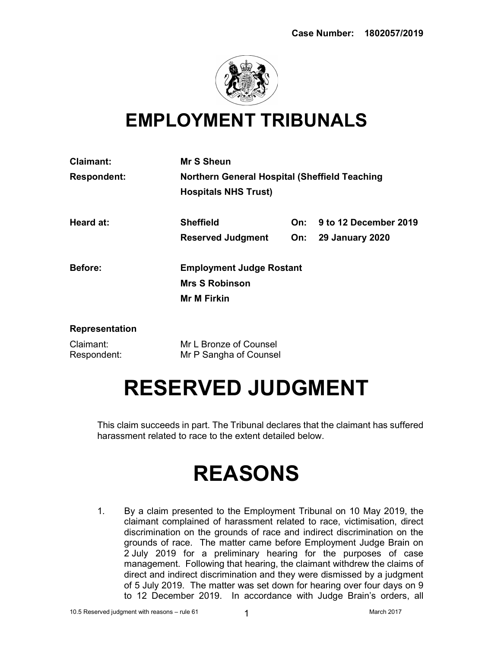

### EMPLOYMENT TRIBUNALS

| <b>Claimant:</b>         | <b>Mr S Sheun</b>                                    |     |                            |
|--------------------------|------------------------------------------------------|-----|----------------------------|
| <b>Respondent:</b>       | <b>Northern General Hospital (Sheffield Teaching</b> |     |                            |
|                          | <b>Hospitals NHS Trust)</b>                          |     |                            |
| Heard at:                | <b>Sheffield</b>                                     | On: | 9 to 12 December 2019      |
|                          | <b>Reserved Judgment</b>                             |     | <b>On:</b> 29 January 2020 |
| Before:                  | <b>Employment Judge Rostant</b>                      |     |                            |
|                          | <b>Mrs S Robinson</b>                                |     |                            |
|                          | <b>Mr M Firkin</b>                                   |     |                            |
| <b>Representation</b>    |                                                      |     |                            |
| Claimant:<br>Respondent: | Mr L Bronze of Counsel<br>Mr P Sangha of Counsel     |     |                            |
|                          |                                                      |     |                            |

## RESERVED JUDGMENT

This claim succeeds in part. The Tribunal declares that the claimant has suffered harassment related to race to the extent detailed below.

# REASONS

1. By a claim presented to the Employment Tribunal on 10 May 2019, the claimant complained of harassment related to race, victimisation, direct discrimination on the grounds of race and indirect discrimination on the grounds of race. The matter came before Employment Judge Brain on 2 July 2019 for a preliminary hearing for the purposes of case management. Following that hearing, the claimant withdrew the claims of direct and indirect discrimination and they were dismissed by a judgment of 5 July 2019. The matter was set down for hearing over four days on 9 to 12 December 2019. In accordance with Judge Brain's orders, all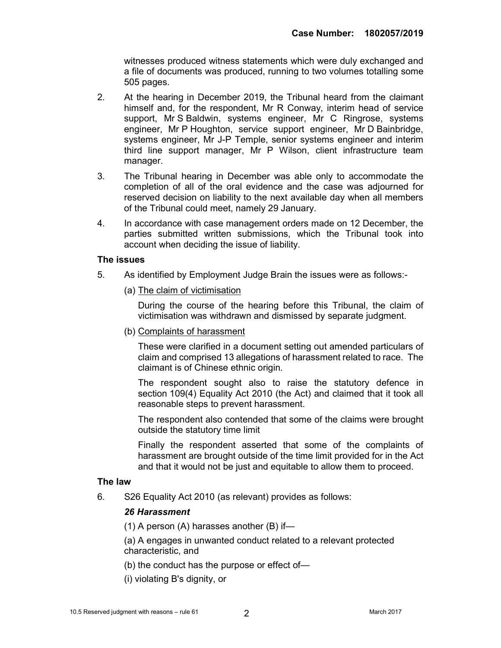witnesses produced witness statements which were duly exchanged and a file of documents was produced, running to two volumes totalling some 505 pages.

- 2. At the hearing in December 2019, the Tribunal heard from the claimant himself and, for the respondent, Mr R Conway, interim head of service support, Mr S Baldwin, systems engineer, Mr C Ringrose, systems engineer, Mr P Houghton, service support engineer, Mr D Bainbridge, systems engineer, Mr J-P Temple, senior systems engineer and interim third line support manager, Mr P Wilson, client infrastructure team manager.
- 3. The Tribunal hearing in December was able only to accommodate the completion of all of the oral evidence and the case was adjourned for reserved decision on liability to the next available day when all members of the Tribunal could meet, namely 29 January.
- 4. In accordance with case management orders made on 12 December, the parties submitted written submissions, which the Tribunal took into account when deciding the issue of liability.

#### The issues

- 5. As identified by Employment Judge Brain the issues were as follows:-
	- (a) The claim of victimisation

During the course of the hearing before this Tribunal, the claim of victimisation was withdrawn and dismissed by separate judgment.

(b) Complaints of harassment

These were clarified in a document setting out amended particulars of claim and comprised 13 allegations of harassment related to race. The claimant is of Chinese ethnic origin.

The respondent sought also to raise the statutory defence in section 109(4) Equality Act 2010 (the Act) and claimed that it took all reasonable steps to prevent harassment.

The respondent also contended that some of the claims were brought outside the statutory time limit

Finally the respondent asserted that some of the complaints of harassment are brought outside of the time limit provided for in the Act and that it would not be just and equitable to allow them to proceed.

#### The law

6. S26 Equality Act 2010 (as relevant) provides as follows:

#### 26 Harassment

(1) A person (A) harasses another (B) if—

(a) A engages in unwanted conduct related to a relevant protected characteristic, and

- (b) the conduct has the purpose or effect of—
- (i) violating B's dignity, or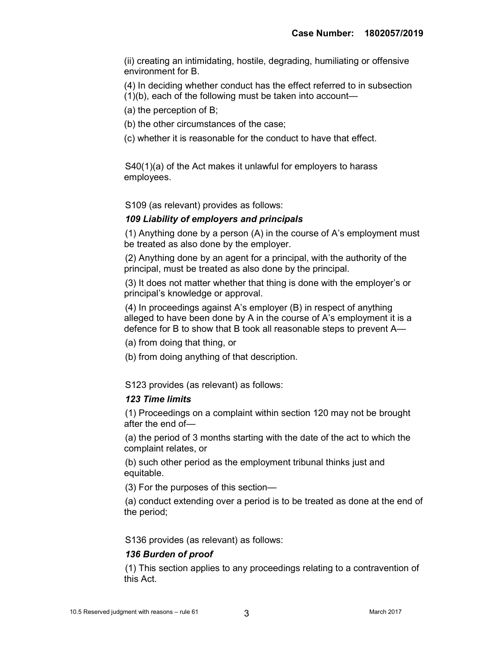(ii) creating an intimidating, hostile, degrading, humiliating or offensive environment for B.

(4) In deciding whether conduct has the effect referred to in subsection

(1)(b), each of the following must be taken into account—

(a) the perception of B;

(b) the other circumstances of the case;

(c) whether it is reasonable for the conduct to have that effect.

S40(1)(a) of the Act makes it unlawful for employers to harass employees.

S109 (as relevant) provides as follows:

#### 109 Liability of employers and principals

(1) Anything done by a person (A) in the course of A's employment must be treated as also done by the employer.

(2) Anything done by an agent for a principal, with the authority of the principal, must be treated as also done by the principal.

(3) It does not matter whether that thing is done with the employer's or principal's knowledge or approval.

(4) In proceedings against A's employer (B) in respect of anything alleged to have been done by A in the course of A's employment it is a defence for B to show that B took all reasonable steps to prevent A—

(a) from doing that thing, or

(b) from doing anything of that description.

S123 provides (as relevant) as follows:

#### 123 Time limits

(1) Proceedings on a complaint within section 120 may not be brought after the end of—

(a) the period of 3 months starting with the date of the act to which the complaint relates, or

(b) such other period as the employment tribunal thinks just and equitable.

(3) For the purposes of this section—

(a) conduct extending over a period is to be treated as done at the end of the period;

S136 provides (as relevant) as follows:

#### 136 Burden of proof

(1) This section applies to any proceedings relating to a contravention of this Act.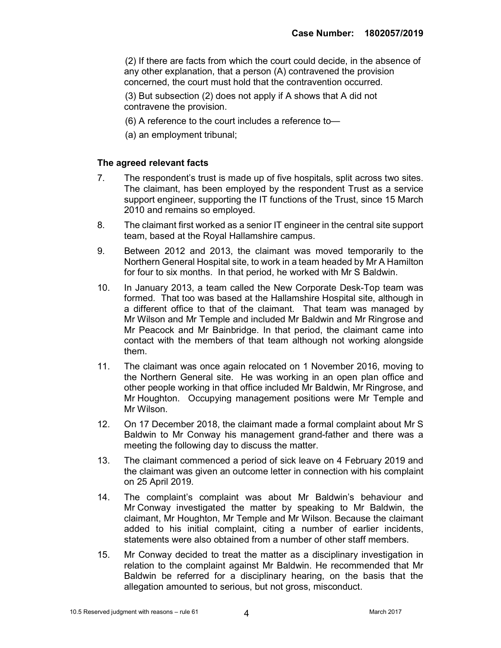(2) If there are facts from which the court could decide, in the absence of any other explanation, that a person (A) contravened the provision concerned, the court must hold that the contravention occurred.

(3) But subsection (2) does not apply if A shows that A did not contravene the provision.

- (6) A reference to the court includes a reference to—
- (a) an employment tribunal;

#### The agreed relevant facts

- 7. The respondent's trust is made up of five hospitals, split across two sites. The claimant, has been employed by the respondent Trust as a service support engineer, supporting the IT functions of the Trust, since 15 March 2010 and remains so employed.
- 8. The claimant first worked as a senior IT engineer in the central site support team, based at the Royal Hallamshire campus.
- 9. Between 2012 and 2013, the claimant was moved temporarily to the Northern General Hospital site, to work in a team headed by Mr A Hamilton for four to six months. In that period, he worked with Mr S Baldwin.
- 10. In January 2013, a team called the New Corporate Desk-Top team was formed. That too was based at the Hallamshire Hospital site, although in a different office to that of the claimant. That team was managed by Mr Wilson and Mr Temple and included Mr Baldwin and Mr Ringrose and Mr Peacock and Mr Bainbridge. In that period, the claimant came into contact with the members of that team although not working alongside them.
- 11. The claimant was once again relocated on 1 November 2016, moving to the Northern General site. He was working in an open plan office and other people working in that office included Mr Baldwin, Mr Ringrose, and Mr Houghton. Occupying management positions were Mr Temple and Mr Wilson.
- 12. On 17 December 2018, the claimant made a formal complaint about Mr S Baldwin to Mr Conway his management grand-father and there was a meeting the following day to discuss the matter.
- 13. The claimant commenced a period of sick leave on 4 February 2019 and the claimant was given an outcome letter in connection with his complaint on 25 April 2019.
- 14. The complaint's complaint was about Mr Baldwin's behaviour and Mr Conway investigated the matter by speaking to Mr Baldwin, the claimant, Mr Houghton, Mr Temple and Mr Wilson. Because the claimant added to his initial complaint, citing a number of earlier incidents, statements were also obtained from a number of other staff members.
- 15. Mr Conway decided to treat the matter as a disciplinary investigation in relation to the complaint against Mr Baldwin. He recommended that Mr Baldwin be referred for a disciplinary hearing, on the basis that the allegation amounted to serious, but not gross, misconduct.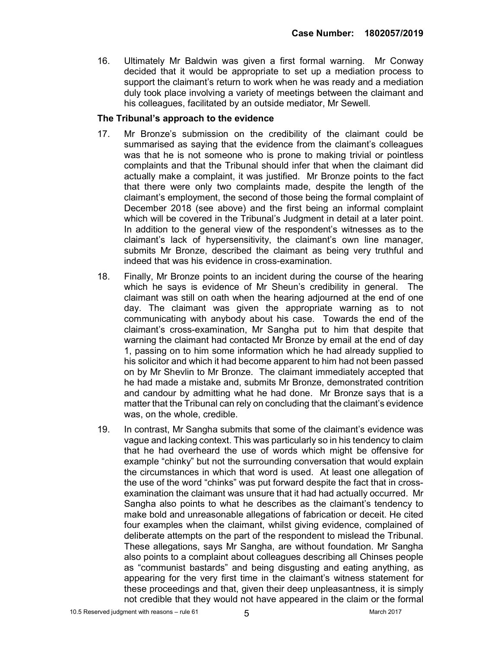16. Ultimately Mr Baldwin was given a first formal warning. Mr Conway decided that it would be appropriate to set up a mediation process to support the claimant's return to work when he was ready and a mediation duly took place involving a variety of meetings between the claimant and his colleagues, facilitated by an outside mediator, Mr Sewell.

#### The Tribunal's approach to the evidence

- 17. Mr Bronze's submission on the credibility of the claimant could be summarised as saying that the evidence from the claimant's colleagues was that he is not someone who is prone to making trivial or pointless complaints and that the Tribunal should infer that when the claimant did actually make a complaint, it was justified. Mr Bronze points to the fact that there were only two complaints made, despite the length of the claimant's employment, the second of those being the formal complaint of December 2018 (see above) and the first being an informal complaint which will be covered in the Tribunal's Judgment in detail at a later point. In addition to the general view of the respondent's witnesses as to the claimant's lack of hypersensitivity, the claimant's own line manager, submits Mr Bronze, described the claimant as being very truthful and indeed that was his evidence in cross-examination.
- 18. Finally, Mr Bronze points to an incident during the course of the hearing which he says is evidence of Mr Sheun's credibility in general. The claimant was still on oath when the hearing adjourned at the end of one day. The claimant was given the appropriate warning as to not communicating with anybody about his case. Towards the end of the claimant's cross-examination, Mr Sangha put to him that despite that warning the claimant had contacted Mr Bronze by email at the end of day 1, passing on to him some information which he had already supplied to his solicitor and which it had become apparent to him had not been passed on by Mr Shevlin to Mr Bronze. The claimant immediately accepted that he had made a mistake and, submits Mr Bronze, demonstrated contrition and candour by admitting what he had done. Mr Bronze says that is a matter that the Tribunal can rely on concluding that the claimant's evidence was, on the whole, credible.
- 19. In contrast, Mr Sangha submits that some of the claimant's evidence was vague and lacking context. This was particularly so in his tendency to claim that he had overheard the use of words which might be offensive for example "chinky" but not the surrounding conversation that would explain the circumstances in which that word is used. At least one allegation of the use of the word "chinks" was put forward despite the fact that in crossexamination the claimant was unsure that it had had actually occurred. Mr Sangha also points to what he describes as the claimant's tendency to make bold and unreasonable allegations of fabrication or deceit. He cited four examples when the claimant, whilst giving evidence, complained of deliberate attempts on the part of the respondent to mislead the Tribunal. These allegations, says Mr Sangha, are without foundation. Mr Sangha also points to a complaint about colleagues describing all Chinses people as "communist bastards" and being disgusting and eating anything, as appearing for the very first time in the claimant's witness statement for these proceedings and that, given their deep unpleasantness, it is simply not credible that they would not have appeared in the claim or the formal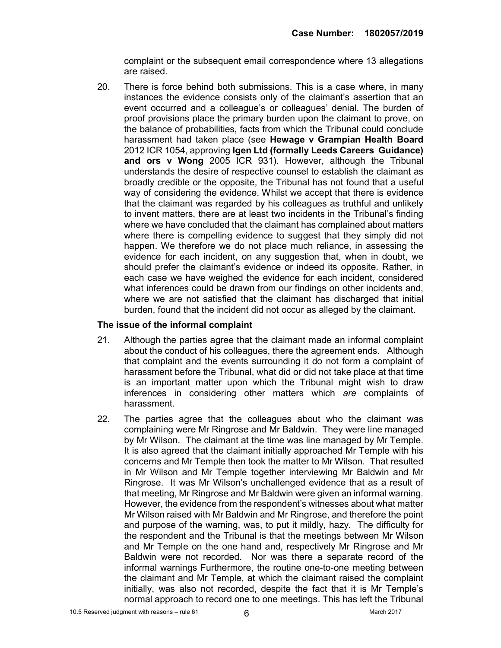complaint or the subsequent email correspondence where 13 allegations are raised.

20. There is force behind both submissions. This is a case where, in many instances the evidence consists only of the claimant's assertion that an event occurred and a colleague's or colleagues' denial. The burden of proof provisions place the primary burden upon the claimant to prove, on the balance of probabilities, facts from which the Tribunal could conclude harassment had taken place (see Hewage v Grampian Health Board 2012 ICR 1054, approving Igen Ltd (formally Leeds Careers Guidance) and ors v Wong 2005 ICR 931). However, although the Tribunal understands the desire of respective counsel to establish the claimant as broadly credible or the opposite, the Tribunal has not found that a useful way of considering the evidence. Whilst we accept that there is evidence that the claimant was regarded by his colleagues as truthful and unlikely to invent matters, there are at least two incidents in the Tribunal's finding where we have concluded that the claimant has complained about matters where there is compelling evidence to suggest that they simply did not happen. We therefore we do not place much reliance, in assessing the evidence for each incident, on any suggestion that, when in doubt, we should prefer the claimant's evidence or indeed its opposite. Rather, in each case we have weighed the evidence for each incident, considered what inferences could be drawn from our findings on other incidents and, where we are not satisfied that the claimant has discharged that initial burden, found that the incident did not occur as alleged by the claimant.

#### The issue of the informal complaint

- 21. Although the parties agree that the claimant made an informal complaint about the conduct of his colleagues, there the agreement ends. Although that complaint and the events surrounding it do not form a complaint of harassment before the Tribunal, what did or did not take place at that time is an important matter upon which the Tribunal might wish to draw inferences in considering other matters which are complaints of harassment.
- 22. The parties agree that the colleagues about who the claimant was complaining were Mr Ringrose and Mr Baldwin. They were line managed by Mr Wilson. The claimant at the time was line managed by Mr Temple. It is also agreed that the claimant initially approached Mr Temple with his concerns and Mr Temple then took the matter to Mr Wilson. That resulted in Mr Wilson and Mr Temple together interviewing Mr Baldwin and Mr Ringrose. It was Mr Wilson's unchallenged evidence that as a result of that meeting, Mr Ringrose and Mr Baldwin were given an informal warning. However, the evidence from the respondent's witnesses about what matter Mr Wilson raised with Mr Baldwin and Mr Ringrose, and therefore the point and purpose of the warning, was, to put it mildly, hazy. The difficulty for the respondent and the Tribunal is that the meetings between Mr Wilson and Mr Temple on the one hand and, respectively Mr Ringrose and Mr Baldwin were not recorded. Nor was there a separate record of the informal warnings Furthermore, the routine one-to-one meeting between the claimant and Mr Temple, at which the claimant raised the complaint initially, was also not recorded, despite the fact that it is Mr Temple's normal approach to record one to one meetings. This has left the Tribunal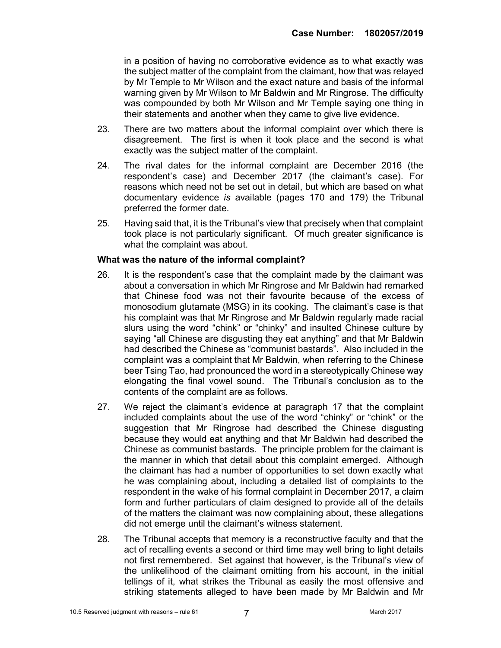in a position of having no corroborative evidence as to what exactly was the subject matter of the complaint from the claimant, how that was relayed by Mr Temple to Mr Wilson and the exact nature and basis of the informal warning given by Mr Wilson to Mr Baldwin and Mr Ringrose. The difficulty was compounded by both Mr Wilson and Mr Temple saying one thing in their statements and another when they came to give live evidence.

- 23. There are two matters about the informal complaint over which there is disagreement. The first is when it took place and the second is what exactly was the subject matter of the complaint.
- 24. The rival dates for the informal complaint are December 2016 (the respondent's case) and December 2017 (the claimant's case). For reasons which need not be set out in detail, but which are based on what documentary evidence is available (pages 170 and 179) the Tribunal preferred the former date.
- 25. Having said that, it is the Tribunal's view that precisely when that complaint took place is not particularly significant. Of much greater significance is what the complaint was about.

#### What was the nature of the informal complaint?

- 26. It is the respondent's case that the complaint made by the claimant was about a conversation in which Mr Ringrose and Mr Baldwin had remarked that Chinese food was not their favourite because of the excess of monosodium glutamate (MSG) in its cooking. The claimant's case is that his complaint was that Mr Ringrose and Mr Baldwin regularly made racial slurs using the word "chink" or "chinky" and insulted Chinese culture by saying "all Chinese are disgusting they eat anything" and that Mr Baldwin had described the Chinese as "communist bastards". Also included in the complaint was a complaint that Mr Baldwin, when referring to the Chinese beer Tsing Tao, had pronounced the word in a stereotypically Chinese way elongating the final vowel sound. The Tribunal's conclusion as to the contents of the complaint are as follows.
- 27. We reject the claimant's evidence at paragraph 17 that the complaint included complaints about the use of the word "chinky" or "chink" or the suggestion that Mr Ringrose had described the Chinese disgusting because they would eat anything and that Mr Baldwin had described the Chinese as communist bastards. The principle problem for the claimant is the manner in which that detail about this complaint emerged. Although the claimant has had a number of opportunities to set down exactly what he was complaining about, including a detailed list of complaints to the respondent in the wake of his formal complaint in December 2017, a claim form and further particulars of claim designed to provide all of the details of the matters the claimant was now complaining about, these allegations did not emerge until the claimant's witness statement.
- 28. The Tribunal accepts that memory is a reconstructive faculty and that the act of recalling events a second or third time may well bring to light details not first remembered. Set against that however, is the Tribunal's view of the unlikelihood of the claimant omitting from his account, in the initial tellings of it, what strikes the Tribunal as easily the most offensive and striking statements alleged to have been made by Mr Baldwin and Mr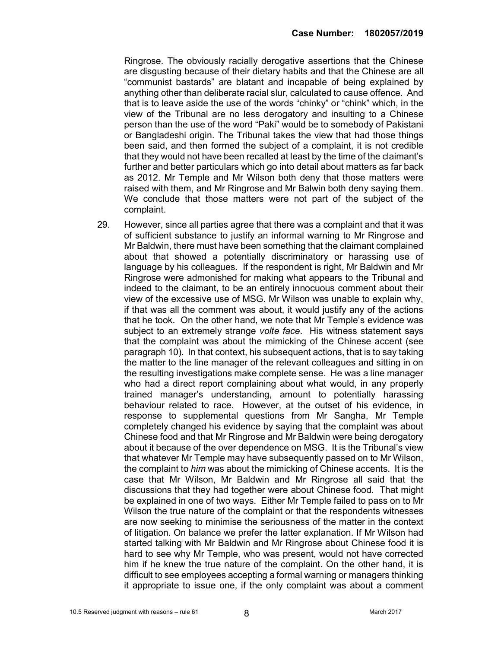Ringrose. The obviously racially derogative assertions that the Chinese are disgusting because of their dietary habits and that the Chinese are all "communist bastards" are blatant and incapable of being explained by anything other than deliberate racial slur, calculated to cause offence. And that is to leave aside the use of the words "chinky" or "chink" which, in the view of the Tribunal are no less derogatory and insulting to a Chinese person than the use of the word "Paki" would be to somebody of Pakistani or Bangladeshi origin. The Tribunal takes the view that had those things been said, and then formed the subject of a complaint, it is not credible that they would not have been recalled at least by the time of the claimant's further and better particulars which go into detail about matters as far back as 2012. Mr Temple and Mr Wilson both deny that those matters were raised with them, and Mr Ringrose and Mr Balwin both deny saying them. We conclude that those matters were not part of the subject of the complaint.

29. However, since all parties agree that there was a complaint and that it was of sufficient substance to justify an informal warning to Mr Ringrose and Mr Baldwin, there must have been something that the claimant complained about that showed a potentially discriminatory or harassing use of language by his colleagues. If the respondent is right, Mr Baldwin and Mr Ringrose were admonished for making what appears to the Tribunal and indeed to the claimant, to be an entirely innocuous comment about their view of the excessive use of MSG. Mr Wilson was unable to explain why, if that was all the comment was about, it would justify any of the actions that he took. On the other hand, we note that Mr Temple's evidence was subject to an extremely strange *volte face*. His witness statement says that the complaint was about the mimicking of the Chinese accent (see paragraph 10). In that context, his subsequent actions, that is to say taking the matter to the line manager of the relevant colleagues and sitting in on the resulting investigations make complete sense. He was a line manager who had a direct report complaining about what would, in any properly trained manager's understanding, amount to potentially harassing behaviour related to race. However, at the outset of his evidence, in response to supplemental questions from Mr Sangha, Mr Temple completely changed his evidence by saying that the complaint was about Chinese food and that Mr Ringrose and Mr Baldwin were being derogatory about it because of the over dependence on MSG. It is the Tribunal's view that whatever Mr Temple may have subsequently passed on to Mr Wilson, the complaint to him was about the mimicking of Chinese accents. It is the case that Mr Wilson, Mr Baldwin and Mr Ringrose all said that the discussions that they had together were about Chinese food. That might be explained in one of two ways. Either Mr Temple failed to pass on to Mr Wilson the true nature of the complaint or that the respondents witnesses are now seeking to minimise the seriousness of the matter in the context of litigation. On balance we prefer the latter explanation. If Mr Wilson had started talking with Mr Baldwin and Mr Ringrose about Chinese food it is hard to see why Mr Temple, who was present, would not have corrected him if he knew the true nature of the complaint. On the other hand, it is difficult to see employees accepting a formal warning or managers thinking it appropriate to issue one, if the only complaint was about a comment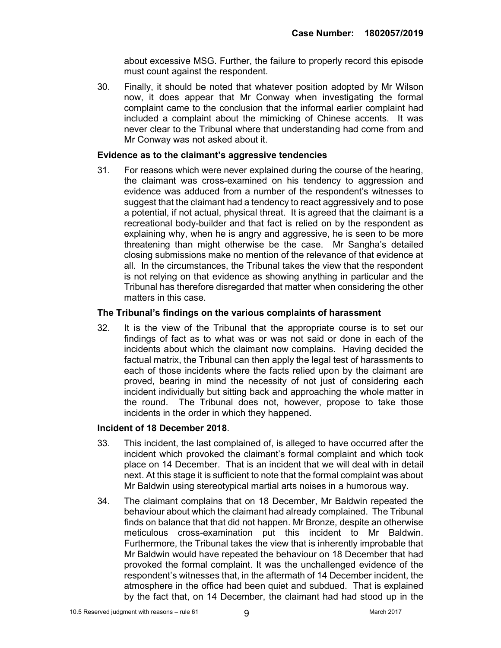about excessive MSG. Further, the failure to properly record this episode must count against the respondent.

30. Finally, it should be noted that whatever position adopted by Mr Wilson now, it does appear that Mr Conway when investigating the formal complaint came to the conclusion that the informal earlier complaint had included a complaint about the mimicking of Chinese accents. It was never clear to the Tribunal where that understanding had come from and Mr Conway was not asked about it.

#### Evidence as to the claimant's aggressive tendencies

31. For reasons which were never explained during the course of the hearing, the claimant was cross-examined on his tendency to aggression and evidence was adduced from a number of the respondent's witnesses to suggest that the claimant had a tendency to react aggressively and to pose a potential, if not actual, physical threat. It is agreed that the claimant is a recreational body-builder and that fact is relied on by the respondent as explaining why, when he is angry and aggressive, he is seen to be more threatening than might otherwise be the case. Mr Sangha's detailed closing submissions make no mention of the relevance of that evidence at all. In the circumstances, the Tribunal takes the view that the respondent is not relying on that evidence as showing anything in particular and the Tribunal has therefore disregarded that matter when considering the other matters in this case.

#### The Tribunal's findings on the various complaints of harassment

32. It is the view of the Tribunal that the appropriate course is to set our findings of fact as to what was or was not said or done in each of the incidents about which the claimant now complains. Having decided the factual matrix, the Tribunal can then apply the legal test of harassments to each of those incidents where the facts relied upon by the claimant are proved, bearing in mind the necessity of not just of considering each incident individually but sitting back and approaching the whole matter in the round. The Tribunal does not, however, propose to take those incidents in the order in which they happened.

#### Incident of 18 December 2018.

- 33. This incident, the last complained of, is alleged to have occurred after the incident which provoked the claimant's formal complaint and which took place on 14 December. That is an incident that we will deal with in detail next. At this stage it is sufficient to note that the formal complaint was about Mr Baldwin using stereotypical martial arts noises in a humorous way.
- 34. The claimant complains that on 18 December, Mr Baldwin repeated the behaviour about which the claimant had already complained. The Tribunal finds on balance that that did not happen. Mr Bronze, despite an otherwise meticulous cross-examination put this incident to Mr Baldwin. Furthermore, the Tribunal takes the view that is inherently improbable that Mr Baldwin would have repeated the behaviour on 18 December that had provoked the formal complaint. It was the unchallenged evidence of the respondent's witnesses that, in the aftermath of 14 December incident, the atmosphere in the office had been quiet and subdued. That is explained by the fact that, on 14 December, the claimant had had stood up in the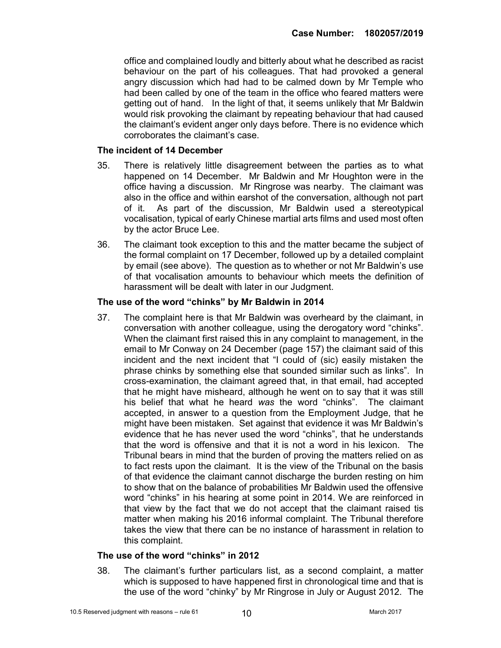office and complained loudly and bitterly about what he described as racist behaviour on the part of his colleagues. That had provoked a general angry discussion which had had to be calmed down by Mr Temple who had been called by one of the team in the office who feared matters were getting out of hand. In the light of that, it seems unlikely that Mr Baldwin would risk provoking the claimant by repeating behaviour that had caused the claimant's evident anger only days before. There is no evidence which corroborates the claimant's case.

#### The incident of 14 December

- 35. There is relatively little disagreement between the parties as to what happened on 14 December. Mr Baldwin and Mr Houghton were in the office having a discussion. Mr Ringrose was nearby. The claimant was also in the office and within earshot of the conversation, although not part of it. As part of the discussion, Mr Baldwin used a stereotypical vocalisation, typical of early Chinese martial arts films and used most often by the actor Bruce Lee.
- 36. The claimant took exception to this and the matter became the subject of the formal complaint on 17 December, followed up by a detailed complaint by email (see above). The question as to whether or not Mr Baldwin's use of that vocalisation amounts to behaviour which meets the definition of harassment will be dealt with later in our Judgment.

#### The use of the word "chinks" by Mr Baldwin in 2014

37. The complaint here is that Mr Baldwin was overheard by the claimant, in conversation with another colleague, using the derogatory word "chinks". When the claimant first raised this in any complaint to management, in the email to Mr Conway on 24 December (page 157) the claimant said of this incident and the next incident that "I could of (sic) easily mistaken the phrase chinks by something else that sounded similar such as links". In cross-examination, the claimant agreed that, in that email, had accepted that he might have misheard, although he went on to say that it was still his belief that what he heard was the word "chinks". The claimant accepted, in answer to a question from the Employment Judge, that he might have been mistaken. Set against that evidence it was Mr Baldwin's evidence that he has never used the word "chinks", that he understands that the word is offensive and that it is not a word in his lexicon. The Tribunal bears in mind that the burden of proving the matters relied on as to fact rests upon the claimant. It is the view of the Tribunal on the basis of that evidence the claimant cannot discharge the burden resting on him to show that on the balance of probabilities Mr Baldwin used the offensive word "chinks" in his hearing at some point in 2014. We are reinforced in that view by the fact that we do not accept that the claimant raised tis matter when making his 2016 informal complaint. The Tribunal therefore takes the view that there can be no instance of harassment in relation to this complaint.

#### The use of the word "chinks" in 2012

38. The claimant's further particulars list, as a second complaint, a matter which is supposed to have happened first in chronological time and that is the use of the word "chinky" by Mr Ringrose in July or August 2012. The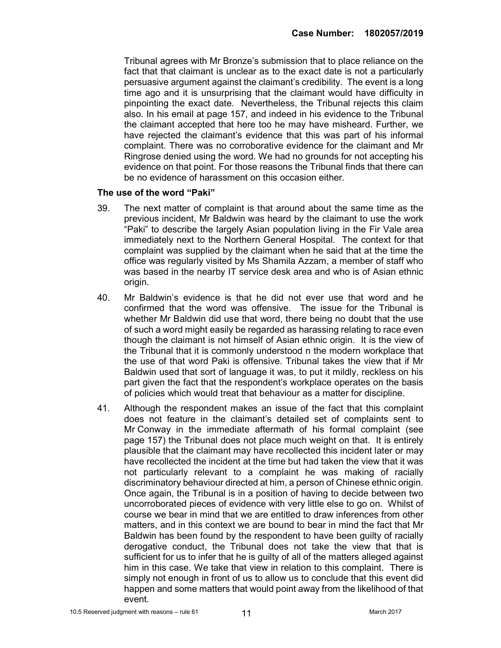Tribunal agrees with Mr Bronze's submission that to place reliance on the fact that that claimant is unclear as to the exact date is not a particularly persuasive argument against the claimant's credibility. The event is a long time ago and it is unsurprising that the claimant would have difficulty in pinpointing the exact date. Nevertheless, the Tribunal rejects this claim also. In his email at page 157, and indeed in his evidence to the Tribunal the claimant accepted that here too he may have misheard. Further, we have rejected the claimant's evidence that this was part of his informal complaint. There was no corroborative evidence for the claimant and Mr Ringrose denied using the word. We had no grounds for not accepting his evidence on that point. For those reasons the Tribunal finds that there can be no evidence of harassment on this occasion either.

#### The use of the word "Paki"

- 39. The next matter of complaint is that around about the same time as the previous incident, Mr Baldwin was heard by the claimant to use the work "Paki" to describe the largely Asian population living in the Fir Vale area immediately next to the Northern General Hospital. The context for that complaint was supplied by the claimant when he said that at the time the office was regularly visited by Ms Shamila Azzam, a member of staff who was based in the nearby IT service desk area and who is of Asian ethnic origin.
- 40. Mr Baldwin's evidence is that he did not ever use that word and he confirmed that the word was offensive. The issue for the Tribunal is whether Mr Baldwin did use that word, there being no doubt that the use of such a word might easily be regarded as harassing relating to race even though the claimant is not himself of Asian ethnic origin. It is the view of the Tribunal that it is commonly understood n the modern workplace that the use of that word Paki is offensive. Tribunal takes the view that if Mr Baldwin used that sort of language it was, to put it mildly, reckless on his part given the fact that the respondent's workplace operates on the basis of policies which would treat that behaviour as a matter for discipline.
- 41. Although the respondent makes an issue of the fact that this complaint does not feature in the claimant's detailed set of complaints sent to Mr Conway in the immediate aftermath of his formal complaint (see page 157) the Tribunal does not place much weight on that. It is entirely plausible that the claimant may have recollected this incident later or may have recollected the incident at the time but had taken the view that it was not particularly relevant to a complaint he was making of racially discriminatory behaviour directed at him, a person of Chinese ethnic origin. Once again, the Tribunal is in a position of having to decide between two uncorroborated pieces of evidence with very little else to go on. Whilst of course we bear in mind that we are entitled to draw inferences from other matters, and in this context we are bound to bear in mind the fact that Mr Baldwin has been found by the respondent to have been guilty of racially derogative conduct, the Tribunal does not take the view that that is sufficient for us to infer that he is guilty of all of the matters alleged against him in this case. We take that view in relation to this complaint. There is simply not enough in front of us to allow us to conclude that this event did happen and some matters that would point away from the likelihood of that event.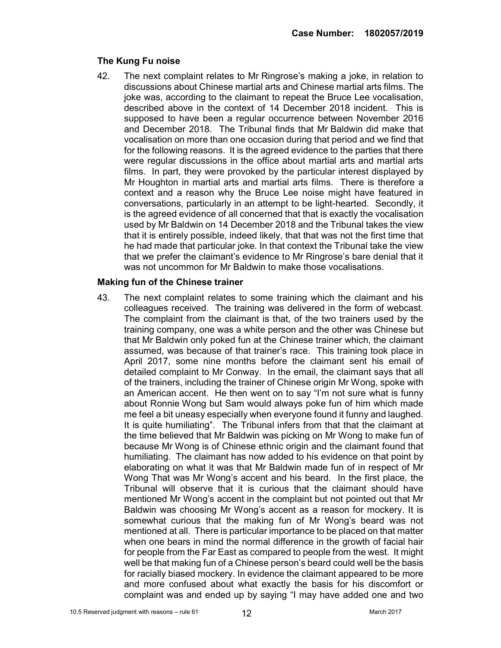#### The Kung Fu noise

42. The next complaint relates to Mr Ringrose's making a joke, in relation to discussions about Chinese martial arts and Chinese martial arts films. The joke was, according to the claimant to repeat the Bruce Lee vocalisation, described above in the context of 14 December 2018 incident. This is supposed to have been a regular occurrence between November 2016 and December 2018. The Tribunal finds that Mr Baldwin did make that vocalisation on more than one occasion during that period and we find that for the following reasons. It is the agreed evidence to the parties that there were regular discussions in the office about martial arts and martial arts films. In part, they were provoked by the particular interest displayed by Mr Houghton in martial arts and martial arts films. There is therefore a context and a reason why the Bruce Lee noise might have featured in conversations, particularly in an attempt to be light-hearted. Secondly, it is the agreed evidence of all concerned that that is exactly the vocalisation used by Mr Baldwin on 14 December 2018 and the Tribunal takes the view that it is entirely possible, indeed likely, that that was not the first time that he had made that particular joke. In that context the Tribunal take the view that we prefer the claimant's evidence to Mr Ringrose's bare denial that it was not uncommon for Mr Baldwin to make those vocalisations.

#### Making fun of the Chinese trainer

43. The next complaint relates to some training which the claimant and his colleagues received. The training was delivered in the form of webcast. The complaint from the claimant is that, of the two trainers used by the training company, one was a white person and the other was Chinese but that Mr Baldwin only poked fun at the Chinese trainer which, the claimant assumed, was because of that trainer's race. This training took place in April 2017, some nine months before the claimant sent his email of detailed complaint to Mr Conway. In the email, the claimant says that all of the trainers, including the trainer of Chinese origin Mr Wong, spoke with an American accent. He then went on to say "I'm not sure what is funny about Ronnie Wong but Sam would always poke fun of him which made me feel a bit uneasy especially when everyone found it funny and laughed. It is quite humiliating". The Tribunal infers from that that the claimant at the time believed that Mr Baldwin was picking on Mr Wong to make fun of because Mr Wong is of Chinese ethnic origin and the claimant found that humiliating. The claimant has now added to his evidence on that point by elaborating on what it was that Mr Baldwin made fun of in respect of Mr Wong That was Mr Wong's accent and his beard. In the first place, the Tribunal will observe that it is curious that the claimant should have mentioned Mr Wong's accent in the complaint but not pointed out that Mr Baldwin was choosing Mr Wong's accent as a reason for mockery. It is somewhat curious that the making fun of Mr Wong's beard was not mentioned at all. There is particular importance to be placed on that matter when one bears in mind the normal difference in the growth of facial hair for people from the Far East as compared to people from the west. It might well be that making fun of a Chinese person's beard could well be the basis for racially biased mockery. In evidence the claimant appeared to be more and more confused about what exactly the basis for his discomfort or complaint was and ended up by saying "I may have added one and two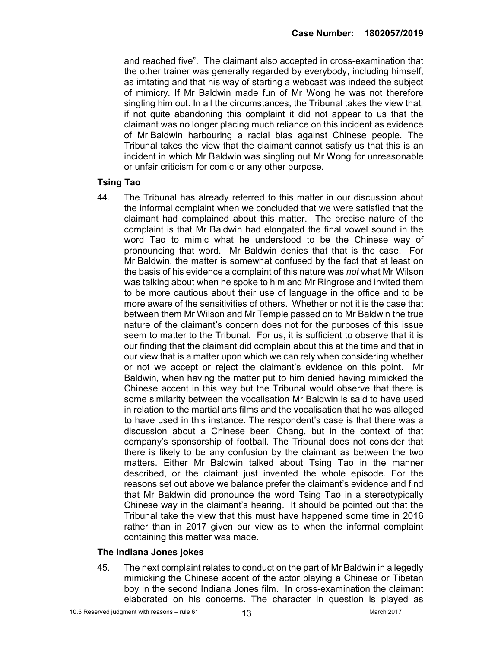and reached five". The claimant also accepted in cross-examination that the other trainer was generally regarded by everybody, including himself, as irritating and that his way of starting a webcast was indeed the subject of mimicry. If Mr Baldwin made fun of Mr Wong he was not therefore singling him out. In all the circumstances, the Tribunal takes the view that, if not quite abandoning this complaint it did not appear to us that the claimant was no longer placing much reliance on this incident as evidence of Mr Baldwin harbouring a racial bias against Chinese people. The Tribunal takes the view that the claimant cannot satisfy us that this is an incident in which Mr Baldwin was singling out Mr Wong for unreasonable or unfair criticism for comic or any other purpose.

#### Tsing Tao

44. The Tribunal has already referred to this matter in our discussion about the informal complaint when we concluded that we were satisfied that the claimant had complained about this matter. The precise nature of the complaint is that Mr Baldwin had elongated the final vowel sound in the word Tao to mimic what he understood to be the Chinese way of pronouncing that word. Mr Baldwin denies that that is the case. For Mr Baldwin, the matter is somewhat confused by the fact that at least on the basis of his evidence a complaint of this nature was not what Mr Wilson was talking about when he spoke to him and Mr Ringrose and invited them to be more cautious about their use of language in the office and to be more aware of the sensitivities of others. Whether or not it is the case that between them Mr Wilson and Mr Temple passed on to Mr Baldwin the true nature of the claimant's concern does not for the purposes of this issue seem to matter to the Tribunal. For us, it is sufficient to observe that it is our finding that the claimant did complain about this at the time and that in our view that is a matter upon which we can rely when considering whether or not we accept or reject the claimant's evidence on this point. Mr Baldwin, when having the matter put to him denied having mimicked the Chinese accent in this way but the Tribunal would observe that there is some similarity between the vocalisation Mr Baldwin is said to have used in relation to the martial arts films and the vocalisation that he was alleged to have used in this instance. The respondent's case is that there was a discussion about a Chinese beer, Chang, but in the context of that company's sponsorship of football. The Tribunal does not consider that there is likely to be any confusion by the claimant as between the two matters. Either Mr Baldwin talked about Tsing Tao in the manner described, or the claimant just invented the whole episode. For the reasons set out above we balance prefer the claimant's evidence and find that Mr Baldwin did pronounce the word Tsing Tao in a stereotypically Chinese way in the claimant's hearing. It should be pointed out that the Tribunal take the view that this must have happened some time in 2016 rather than in 2017 given our view as to when the informal complaint containing this matter was made.

#### The Indiana Jones jokes

45. The next complaint relates to conduct on the part of Mr Baldwin in allegedly mimicking the Chinese accent of the actor playing a Chinese or Tibetan boy in the second Indiana Jones film. In cross-examination the claimant elaborated on his concerns. The character in question is played as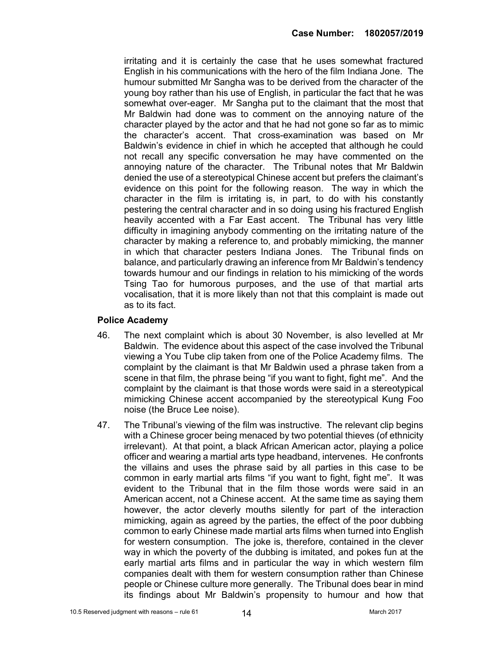irritating and it is certainly the case that he uses somewhat fractured English in his communications with the hero of the film Indiana Jone. The humour submitted Mr Sangha was to be derived from the character of the young boy rather than his use of English, in particular the fact that he was somewhat over-eager. Mr Sangha put to the claimant that the most that Mr Baldwin had done was to comment on the annoying nature of the character played by the actor and that he had not gone so far as to mimic the character's accent. That cross-examination was based on Mr Baldwin's evidence in chief in which he accepted that although he could not recall any specific conversation he may have commented on the annoying nature of the character. The Tribunal notes that Mr Baldwin denied the use of a stereotypical Chinese accent but prefers the claimant's evidence on this point for the following reason. The way in which the character in the film is irritating is, in part, to do with his constantly pestering the central character and in so doing using his fractured English heavily accented with a Far East accent. The Tribunal has very little difficulty in imagining anybody commenting on the irritating nature of the character by making a reference to, and probably mimicking, the manner in which that character pesters Indiana Jones. The Tribunal finds on balance, and particularly drawing an inference from Mr Baldwin's tendency towards humour and our findings in relation to his mimicking of the words Tsing Tao for humorous purposes, and the use of that martial arts vocalisation, that it is more likely than not that this complaint is made out as to its fact.

#### Police Academy

- 46. The next complaint which is about 30 November, is also levelled at Mr Baldwin. The evidence about this aspect of the case involved the Tribunal viewing a You Tube clip taken from one of the Police Academy films. The complaint by the claimant is that Mr Baldwin used a phrase taken from a scene in that film, the phrase being "if you want to fight, fight me". And the complaint by the claimant is that those words were said in a stereotypical mimicking Chinese accent accompanied by the stereotypical Kung Foo noise (the Bruce Lee noise).
- 47. The Tribunal's viewing of the film was instructive. The relevant clip begins with a Chinese grocer being menaced by two potential thieves (of ethnicity irrelevant). At that point, a black African American actor, playing a police officer and wearing a martial arts type headband, intervenes. He confronts the villains and uses the phrase said by all parties in this case to be common in early martial arts films "if you want to fight, fight me". It was evident to the Tribunal that in the film those words were said in an American accent, not a Chinese accent. At the same time as saying them however, the actor cleverly mouths silently for part of the interaction mimicking, again as agreed by the parties, the effect of the poor dubbing common to early Chinese made martial arts films when turned into English for western consumption. The joke is, therefore, contained in the clever way in which the poverty of the dubbing is imitated, and pokes fun at the early martial arts films and in particular the way in which western film companies dealt with them for western consumption rather than Chinese people or Chinese culture more generally. The Tribunal does bear in mind its findings about Mr Baldwin's propensity to humour and how that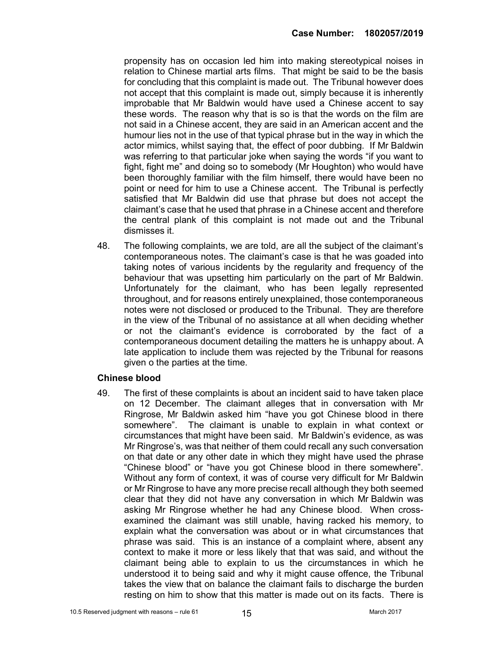propensity has on occasion led him into making stereotypical noises in relation to Chinese martial arts films. That might be said to be the basis for concluding that this complaint is made out. The Tribunal however does not accept that this complaint is made out, simply because it is inherently improbable that Mr Baldwin would have used a Chinese accent to say these words. The reason why that is so is that the words on the film are not said in a Chinese accent, they are said in an American accent and the humour lies not in the use of that typical phrase but in the way in which the actor mimics, whilst saying that, the effect of poor dubbing. If Mr Baldwin was referring to that particular joke when saying the words "if you want to fight, fight me" and doing so to somebody (Mr Houghton) who would have been thoroughly familiar with the film himself, there would have been no point or need for him to use a Chinese accent. The Tribunal is perfectly satisfied that Mr Baldwin did use that phrase but does not accept the claimant's case that he used that phrase in a Chinese accent and therefore the central plank of this complaint is not made out and the Tribunal dismisses it.

48. The following complaints, we are told, are all the subject of the claimant's contemporaneous notes. The claimant's case is that he was goaded into taking notes of various incidents by the regularity and frequency of the behaviour that was upsetting him particularly on the part of Mr Baldwin. Unfortunately for the claimant, who has been legally represented throughout, and for reasons entirely unexplained, those contemporaneous notes were not disclosed or produced to the Tribunal. They are therefore in the view of the Tribunal of no assistance at all when deciding whether or not the claimant's evidence is corroborated by the fact of a contemporaneous document detailing the matters he is unhappy about. A late application to include them was rejected by the Tribunal for reasons given o the parties at the time.

#### Chinese blood

49. The first of these complaints is about an incident said to have taken place on 12 December. The claimant alleges that in conversation with Mr Ringrose, Mr Baldwin asked him "have you got Chinese blood in there somewhere". The claimant is unable to explain in what context or circumstances that might have been said. Mr Baldwin's evidence, as was Mr Ringrose's, was that neither of them could recall any such conversation on that date or any other date in which they might have used the phrase "Chinese blood" or "have you got Chinese blood in there somewhere". Without any form of context, it was of course very difficult for Mr Baldwin or Mr Ringrose to have any more precise recall although they both seemed clear that they did not have any conversation in which Mr Baldwin was asking Mr Ringrose whether he had any Chinese blood. When crossexamined the claimant was still unable, having racked his memory, to explain what the conversation was about or in what circumstances that phrase was said. This is an instance of a complaint where, absent any context to make it more or less likely that that was said, and without the claimant being able to explain to us the circumstances in which he understood it to being said and why it might cause offence, the Tribunal takes the view that on balance the claimant fails to discharge the burden resting on him to show that this matter is made out on its facts. There is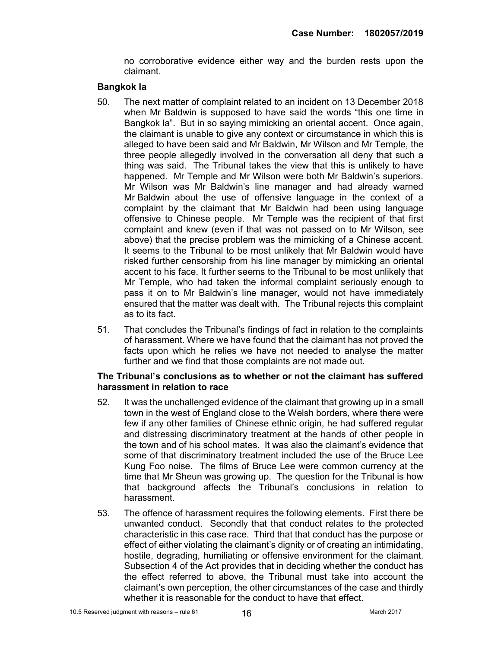no corroborative evidence either way and the burden rests upon the claimant.

#### Bangkok la

- 50. The next matter of complaint related to an incident on 13 December 2018 when Mr Baldwin is supposed to have said the words "this one time in Bangkok la". But in so saying mimicking an oriental accent. Once again, the claimant is unable to give any context or circumstance in which this is alleged to have been said and Mr Baldwin, Mr Wilson and Mr Temple, the three people allegedly involved in the conversation all deny that such a thing was said. The Tribunal takes the view that this is unlikely to have happened. Mr Temple and Mr Wilson were both Mr Baldwin's superiors. Mr Wilson was Mr Baldwin's line manager and had already warned Mr Baldwin about the use of offensive language in the context of a complaint by the claimant that Mr Baldwin had been using language offensive to Chinese people. Mr Temple was the recipient of that first complaint and knew (even if that was not passed on to Mr Wilson, see above) that the precise problem was the mimicking of a Chinese accent. It seems to the Tribunal to be most unlikely that Mr Baldwin would have risked further censorship from his line manager by mimicking an oriental accent to his face. It further seems to the Tribunal to be most unlikely that Mr Temple, who had taken the informal complaint seriously enough to pass it on to Mr Baldwin's line manager, would not have immediately ensured that the matter was dealt with. The Tribunal rejects this complaint as to its fact.
- 51. That concludes the Tribunal's findings of fact in relation to the complaints of harassment. Where we have found that the claimant has not proved the facts upon which he relies we have not needed to analyse the matter further and we find that those complaints are not made out.

#### The Tribunal's conclusions as to whether or not the claimant has suffered harassment in relation to race

- 52. It was the unchallenged evidence of the claimant that growing up in a small town in the west of England close to the Welsh borders, where there were few if any other families of Chinese ethnic origin, he had suffered regular and distressing discriminatory treatment at the hands of other people in the town and of his school mates. It was also the claimant's evidence that some of that discriminatory treatment included the use of the Bruce Lee Kung Foo noise. The films of Bruce Lee were common currency at the time that Mr Sheun was growing up. The question for the Tribunal is how that background affects the Tribunal's conclusions in relation to harassment.
- 53. The offence of harassment requires the following elements. First there be unwanted conduct. Secondly that that conduct relates to the protected characteristic in this case race. Third that that conduct has the purpose or effect of either violating the claimant's dignity or of creating an intimidating, hostile, degrading, humiliating or offensive environment for the claimant. Subsection 4 of the Act provides that in deciding whether the conduct has the effect referred to above, the Tribunal must take into account the claimant's own perception, the other circumstances of the case and thirdly whether it is reasonable for the conduct to have that effect.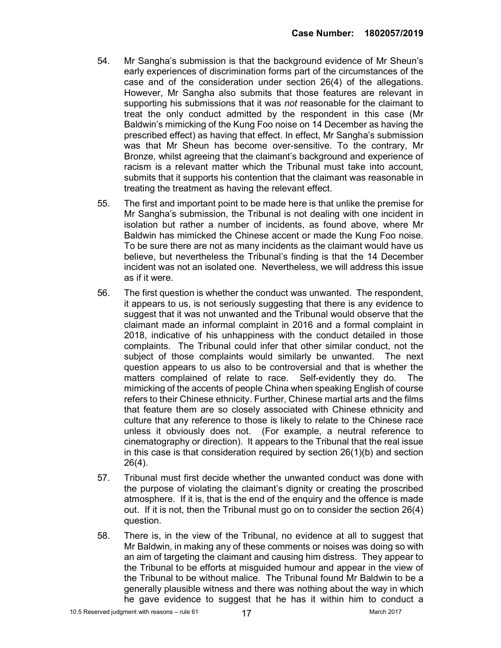- 54. Mr Sangha's submission is that the background evidence of Mr Sheun's early experiences of discrimination forms part of the circumstances of the case and of the consideration under section 26(4) of the allegations. However, Mr Sangha also submits that those features are relevant in supporting his submissions that it was not reasonable for the claimant to treat the only conduct admitted by the respondent in this case (Mr Baldwin's mimicking of the Kung Foo noise on 14 December as having the prescribed effect) as having that effect. In effect, Mr Sangha's submission was that Mr Sheun has become over-sensitive. To the contrary, Mr Bronze, whilst agreeing that the claimant's background and experience of racism is a relevant matter which the Tribunal must take into account, submits that it supports his contention that the claimant was reasonable in treating the treatment as having the relevant effect.
- 55. The first and important point to be made here is that unlike the premise for Mr Sangha's submission, the Tribunal is not dealing with one incident in isolation but rather a number of incidents, as found above, where Mr Baldwin has mimicked the Chinese accent or made the Kung Foo noise. To be sure there are not as many incidents as the claimant would have us believe, but nevertheless the Tribunal's finding is that the 14 December incident was not an isolated one. Nevertheless, we will address this issue as if it were.
- 56. The first question is whether the conduct was unwanted. The respondent, it appears to us, is not seriously suggesting that there is any evidence to suggest that it was not unwanted and the Tribunal would observe that the claimant made an informal complaint in 2016 and a formal complaint in 2018, indicative of his unhappiness with the conduct detailed in those complaints. The Tribunal could infer that other similar conduct, not the subject of those complaints would similarly be unwanted. The next question appears to us also to be controversial and that is whether the matters complained of relate to race. Self-evidently they do. The mimicking of the accents of people China when speaking English of course refers to their Chinese ethnicity. Further, Chinese martial arts and the films that feature them are so closely associated with Chinese ethnicity and culture that any reference to those is likely to relate to the Chinese race unless it obviously does not. (For example, a neutral reference to cinematography or direction). It appears to the Tribunal that the real issue in this case is that consideration required by section 26(1)(b) and section 26(4).
- 57. Tribunal must first decide whether the unwanted conduct was done with the purpose of violating the claimant's dignity or creating the proscribed atmosphere. If it is, that is the end of the enquiry and the offence is made out. If it is not, then the Tribunal must go on to consider the section 26(4) question.
- 58. There is, in the view of the Tribunal, no evidence at all to suggest that Mr Baldwin, in making any of these comments or noises was doing so with an aim of targeting the claimant and causing him distress. They appear to the Tribunal to be efforts at misguided humour and appear in the view of the Tribunal to be without malice. The Tribunal found Mr Baldwin to be a generally plausible witness and there was nothing about the way in which he gave evidence to suggest that he has it within him to conduct a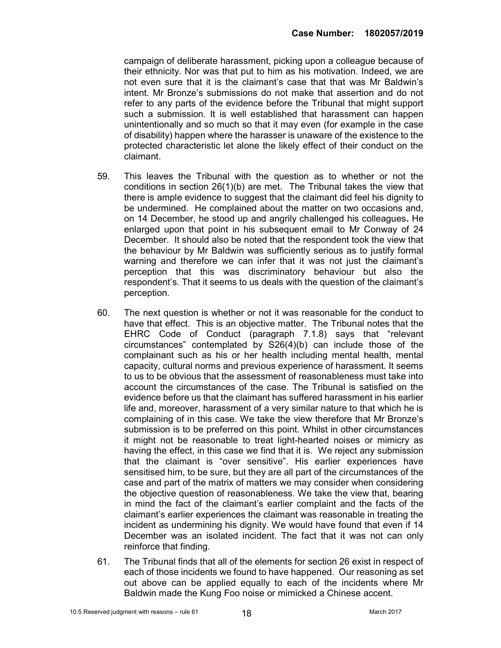campaign of deliberate harassment, picking upon a colleague because of their ethnicity. Nor was that put to him as his motivation. Indeed, we are not even sure that it is the claimant's case that that was Mr Baldwin's intent. Mr Bronze's submissions do not make that assertion and do not refer to any parts of the evidence before the Tribunal that might support such a submission. It is well established that harassment can happen unintentionally and so much so that it may even (for example in the case of disability) happen where the harasser is unaware of the existence to the protected characteristic let alone the likely effect of their conduct on the claimant.

- 59. This leaves the Tribunal with the question as to whether or not the conditions in section 26(1)(b) are met. The Tribunal takes the view that there is ample evidence to suggest that the claimant did feel his dignity to be undermined. He complained about the matter on two occasions and, on 14 December, he stood up and angrily challenged his colleagues. He enlarged upon that point in his subsequent email to Mr Conway of 24 December. It should also be noted that the respondent took the view that the behaviour by Mr Baldwin was sufficiently serious as to justify formal warning and therefore we can infer that it was not just the claimant's perception that this was discriminatory behaviour but also the respondent's. That it seems to us deals with the question of the claimant's perception.
- 60. The next question is whether or not it was reasonable for the conduct to have that effect. This is an objective matter. The Tribunal notes that the EHRC Code of Conduct (paragraph 7.1.8) says that "relevant circumstances" contemplated by S26(4)(b) can include those of the complainant such as his or her health including mental health, mental capacity, cultural norms and previous experience of harassment. It seems to us to be obvious that the assessment of reasonableness must take into account the circumstances of the case. The Tribunal is satisfied on the evidence before us that the claimant has suffered harassment in his earlier life and, moreover, harassment of a very similar nature to that which he is complaining of in this case. We take the view therefore that Mr Bronze's submission is to be preferred on this point. Whilst in other circumstances it might not be reasonable to treat light-hearted noises or mimicry as having the effect, in this case we find that it is. We reject any submission that the claimant is "over sensitive". His earlier experiences have sensitised him, to be sure, but they are all part of the circumstances of the case and part of the matrix of matters we may consider when considering the objective question of reasonableness. We take the view that, bearing in mind the fact of the claimant's earlier complaint and the facts of the claimant's earlier experiences the claimant was reasonable in treating the incident as undermining his dignity. We would have found that even if 14 December was an isolated incident. The fact that it was not can only reinforce that finding.
- 61. The Tribunal finds that all of the elements for section 26 exist in respect of each of those incidents we found to have happened. Our reasoning as set out above can be applied equally to each of the incidents where Mr Baldwin made the Kung Foo noise or mimicked a Chinese accent.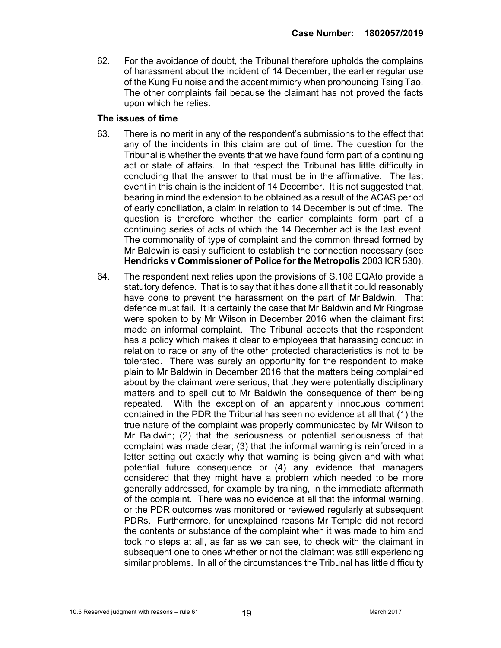62. For the avoidance of doubt, the Tribunal therefore upholds the complains of harassment about the incident of 14 December, the earlier regular use of the Kung Fu noise and the accent mimicry when pronouncing Tsing Tao. The other complaints fail because the claimant has not proved the facts upon which he relies.

#### The issues of time

- 63. There is no merit in any of the respondent's submissions to the effect that any of the incidents in this claim are out of time. The question for the Tribunal is whether the events that we have found form part of a continuing act or state of affairs. In that respect the Tribunal has little difficulty in concluding that the answer to that must be in the affirmative. The last event in this chain is the incident of 14 December. It is not suggested that, bearing in mind the extension to be obtained as a result of the ACAS period of early conciliation, a claim in relation to 14 December is out of time. The question is therefore whether the earlier complaints form part of a continuing series of acts of which the 14 December act is the last event. The commonality of type of complaint and the common thread formed by Mr Baldwin is easily sufficient to establish the connection necessary (see Hendricks v Commissioner of Police for the Metropolis 2003 ICR 530).
- 64. The respondent next relies upon the provisions of S.108 EQAto provide a statutory defence. That is to say that it has done all that it could reasonably have done to prevent the harassment on the part of Mr Baldwin. That defence must fail. It is certainly the case that Mr Baldwin and Mr Ringrose were spoken to by Mr Wilson in December 2016 when the claimant first made an informal complaint. The Tribunal accepts that the respondent has a policy which makes it clear to employees that harassing conduct in relation to race or any of the other protected characteristics is not to be tolerated. There was surely an opportunity for the respondent to make plain to Mr Baldwin in December 2016 that the matters being complained about by the claimant were serious, that they were potentially disciplinary matters and to spell out to Mr Baldwin the consequence of them being repeated. With the exception of an apparently innocuous comment contained in the PDR the Tribunal has seen no evidence at all that (1) the true nature of the complaint was properly communicated by Mr Wilson to Mr Baldwin; (2) that the seriousness or potential seriousness of that complaint was made clear; (3) that the informal warning is reinforced in a letter setting out exactly why that warning is being given and with what potential future consequence or (4) any evidence that managers considered that they might have a problem which needed to be more generally addressed, for example by training, in the immediate aftermath of the complaint. There was no evidence at all that the informal warning, or the PDR outcomes was monitored or reviewed regularly at subsequent PDRs. Furthermore, for unexplained reasons Mr Temple did not record the contents or substance of the complaint when it was made to him and took no steps at all, as far as we can see, to check with the claimant in subsequent one to ones whether or not the claimant was still experiencing similar problems. In all of the circumstances the Tribunal has little difficulty